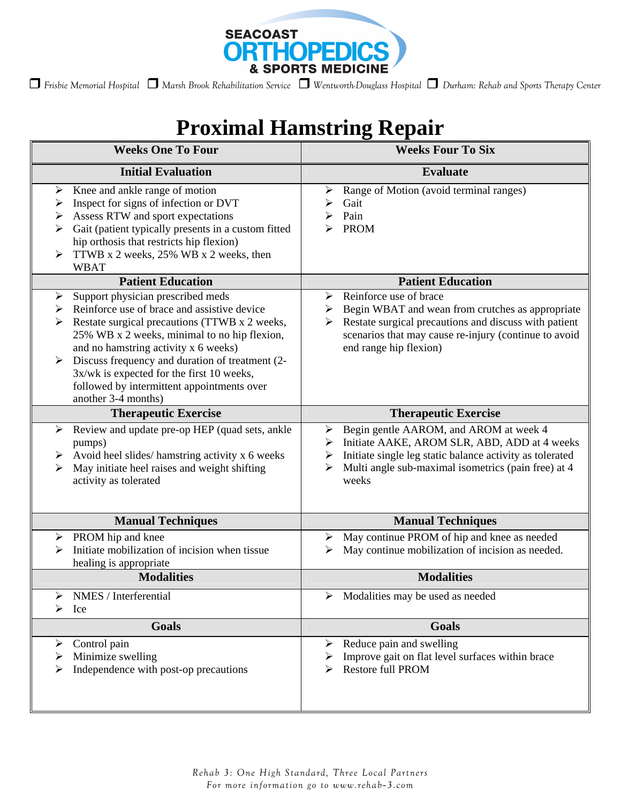

*Frisbie Memorial Hospital Marsh Brook Rehabilitation Service Wentworth-Douglass Hospital Durham: Rehab and Sports Therapy Center*

## **Proximal Hamstring Repair**

| <b>Weeks One To Four</b>                                                                                                                                                                                                                                                                                                                                                                                      | <b>Weeks Four To Six</b>                                                                                                                                                                                                              |
|---------------------------------------------------------------------------------------------------------------------------------------------------------------------------------------------------------------------------------------------------------------------------------------------------------------------------------------------------------------------------------------------------------------|---------------------------------------------------------------------------------------------------------------------------------------------------------------------------------------------------------------------------------------|
| <b>Initial Evaluation</b>                                                                                                                                                                                                                                                                                                                                                                                     | <b>Evaluate</b>                                                                                                                                                                                                                       |
| Knee and ankle range of motion<br>➤<br>Inspect for signs of infection or DVT<br>➤<br>Assess RTW and sport expectations<br>➤<br>Gait (patient typically presents in a custom fitted<br>➤<br>hip orthosis that restricts hip flexion)<br>TTWB x 2 weeks, 25% WB x 2 weeks, then<br>➤<br><b>WBAT</b>                                                                                                             | Range of Motion (avoid terminal ranges)<br>➤<br>Gait<br>≻<br>Pain<br>≻<br><b>PROM</b><br>↘                                                                                                                                            |
| <b>Patient Education</b>                                                                                                                                                                                                                                                                                                                                                                                      | <b>Patient Education</b>                                                                                                                                                                                                              |
| Support physician prescribed meds<br>➤<br>Reinforce use of brace and assistive device<br>➤<br>Restate surgical precautions (TTWB x 2 weeks,<br>➤<br>25% WB x 2 weeks, minimal to no hip flexion,<br>and no hamstring activity x 6 weeks)<br>Discuss frequency and duration of treatment (2-<br>3x/wk is expected for the first 10 weeks,<br>followed by intermittent appointments over<br>another 3-4 months) | Reinforce use of brace<br>➤<br>Begin WBAT and wean from crutches as appropriate<br>➤<br>Restate surgical precautions and discuss with patient<br>➤<br>scenarios that may cause re-injury (continue to avoid<br>end range hip flexion) |
| <b>Therapeutic Exercise</b>                                                                                                                                                                                                                                                                                                                                                                                   | <b>Therapeutic Exercise</b>                                                                                                                                                                                                           |
| Review and update pre-op HEP (quad sets, ankle<br>➤<br>pumps)<br>Avoid heel slides/ hamstring activity x 6 weeks<br>➤<br>May initiate heel raises and weight shifting<br>activity as tolerated                                                                                                                                                                                                                | > Begin gentle AAROM, and AROM at week 4<br>Initiate AAKE, AROM SLR, ABD, ADD at 4 weeks<br>➤<br>Initiate single leg static balance activity as tolerated<br>➤<br>Multi angle sub-maximal isometrics (pain free) at 4<br>weeks        |
| <b>Manual Techniques</b>                                                                                                                                                                                                                                                                                                                                                                                      | <b>Manual Techniques</b>                                                                                                                                                                                                              |
| PROM hip and knee<br>➤<br>Initiate mobilization of incision when tissue<br>⋗<br>healing is appropriate                                                                                                                                                                                                                                                                                                        | $\triangleright$ May continue PROM of hip and knee as needed<br>May continue mobilization of incision as needed.<br>≻                                                                                                                 |
| <b>Modalities</b>                                                                                                                                                                                                                                                                                                                                                                                             | <b>Modalities</b>                                                                                                                                                                                                                     |
| NMES / Interferential<br>⋗<br>Ice                                                                                                                                                                                                                                                                                                                                                                             | Modalities may be used as needed                                                                                                                                                                                                      |
| <b>Goals</b>                                                                                                                                                                                                                                                                                                                                                                                                  | Goals                                                                                                                                                                                                                                 |
| Control pain<br>➤<br>Minimize swelling<br>Independence with post-op precautions                                                                                                                                                                                                                                                                                                                               | Reduce pain and swelling<br>➤<br>Improve gait on flat level surfaces within brace<br><b>Restore full PROM</b><br>⋗                                                                                                                    |